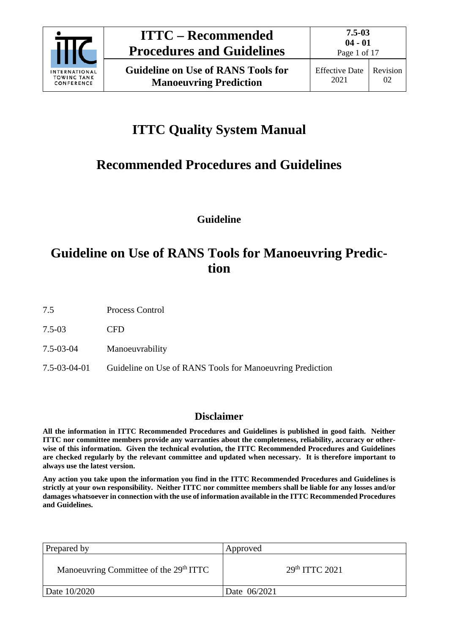

Page 1 of 17

# **ITTC Quality System Manual**

# **Recommended Procedures and Guidelines**

**Guideline**

## **Guideline on Use of RANS Tools for Manoeuvring Prediction**

7.5 Process Control

7.5-03 CFD

7.5-03-04 Manoeuvrability

7.5-03-04-01 Guideline on Use of RANS Tools for Manoeuvring Prediction

## **Disclaimer**

**All the information in ITTC Recommended Procedures and Guidelines is published in good faith. Neither ITTC nor committee members provide any warranties about the completeness, reliability, accuracy or otherwise of this information. Given the technical evolution, the ITTC Recommended Procedures and Guidelines are checked regularly by the relevant committee and updated when necessary. It is therefore important to always use the latest version.**

**Any action you take upon the information you find in the ITTC Recommended Procedures and Guidelines is strictly at your own responsibility. Neither ITTC nor committee members shall be liable for any losses and/or damages whatsoever in connection with the use of information available in the ITTC Recommended Procedures and Guidelines.**

| Prepared by                                        | Approved         |
|----------------------------------------------------|------------------|
| Manoeuvring Committee of the 29 <sup>th</sup> ITTC | $29th$ ITTC 2021 |
| Date 10/2020                                       | Date 06/2021     |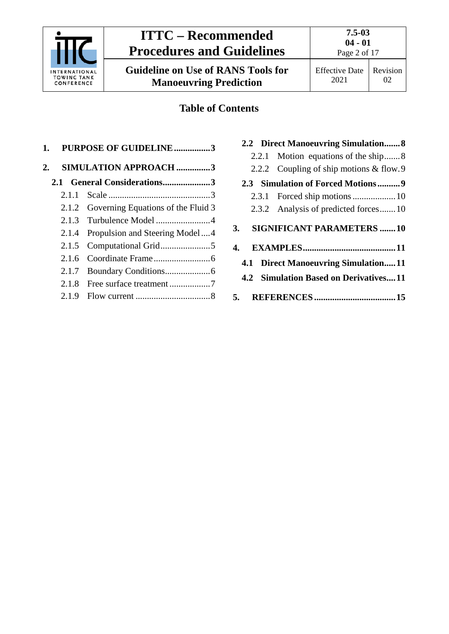

|                                     | 2.2.2 Coupling of ship motions & flow.9 |  |  |
|-------------------------------------|-----------------------------------------|--|--|
|                                     | 2.3 Simulation of Forced Motions9       |  |  |
|                                     |                                         |  |  |
|                                     | 2.3.2 Analysis of predicted forces10    |  |  |
| 3.                                  | <b>SIGNIFICANT PARAMETERS 10</b>        |  |  |
| 4.                                  |                                         |  |  |
| 4.1 Direct Manoeuvring Simulation11 |                                         |  |  |
|                                     | 4.2 Simulation Based on Derivatives11   |  |  |
| 5.                                  |                                         |  |  |

## **2.2 [Direct Manoeuvring Simulation.......8](#page-7-1)**

- 2.2.1 [Motion equations of the ship.......8](#page-7-2)
- 

Page 2 of 17

Revision 02

Effective Date 2021

- 2.1.5 [Computational Grid......................5](#page-4-0)
- 2.1.6 [Coordinate Frame.........................6](#page-5-0)
- 2.1.7 [Boundary Conditions....................6](#page-5-1)
- 2.1.8 [Free surface treatment](#page-6-0) ..................7
- 2.1.9 Flow current [.................................8](#page-7-0)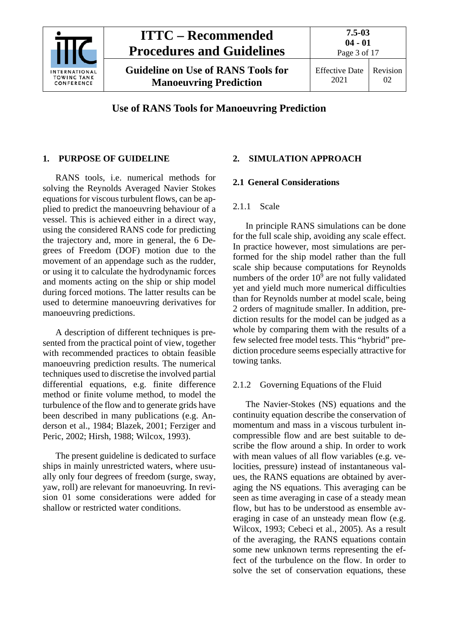

**Guideline on Use of RANS Tools for Manoeuvring Prediction**

## <span id="page-2-0"></span>**1. PURPOSE OF GUIDELINE**

RANS tools, i.e. numerical methods for solving the Reynolds Averaged Navier Stokes equations for viscous turbulent flows, can be applied to predict the manoeuvring behaviour of a vessel. This is achieved either in a direct way, using the considered RANS code for predicting the trajectory and, more in general, the 6 Degrees of Freedom (DOF) motion due to the movement of an appendage such as the rudder, or using it to calculate the hydrodynamic forces and moments acting on the ship or ship model during forced motions. The latter results can be used to determine manoeuvring derivatives for manoeuvring predictions.

A description of different techniques is presented from the practical point of view, together with recommended practices to obtain feasible manoeuvring prediction results. The numerical techniques used to discretise the involved partial differential equations, e.g. finite difference method or finite volume method, to model the turbulence of the flow and to generate grids have been described in many publications (e.g. Anderson et al., 1984; Blazek, 2001; Ferziger and Peric, 2002; Hirsh, 1988; Wilcox, 1993).

The present guideline is dedicated to surface ships in mainly unrestricted waters, where usually only four degrees of freedom (surge, sway, yaw, roll) are relevant for manoeuvring. In revision 01 some considerations were added for shallow or restricted water conditions.

## <span id="page-2-2"></span><span id="page-2-1"></span>**2. SIMULATION APPROACH**

### <span id="page-2-3"></span>**2.1 General Considerations**

### 2.1.1 Scale

In principle RANS simulations can be done for the full scale ship, avoiding any scale effect. In practice however, most simulations are performed for the ship model rather than the full scale ship because computations for Reynolds numbers of the order  $10^{\overline{9}}$  are not fully validated yet and yield much more numerical difficulties than for Reynolds number at model scale, being 2 orders of magnitude smaller. In addition, prediction results for the model can be judged as a whole by comparing them with the results of a few selected free model tests. This "hybrid" prediction procedure seems especially attractive for towing tanks.

### <span id="page-2-4"></span>2.1.2 Governing Equations of the Fluid

The Navier-Stokes (NS) equations and the continuity equation describe the conservation of momentum and mass in a viscous turbulent incompressible flow and are best suitable to describe the flow around a ship. In order to work with mean values of all flow variables (e.g. velocities, pressure) instead of instantaneous values, the RANS equations are obtained by averaging the NS equations. This averaging can be seen as time averaging in case of a steady mean flow, but has to be understood as ensemble averaging in case of an unsteady mean flow (e.g. Wilcox, 1993; Cebeci et al., 2005). As a result of the averaging, the RANS equations contain some new unknown terms representing the effect of the turbulence on the flow. In order to solve the set of conservation equations, these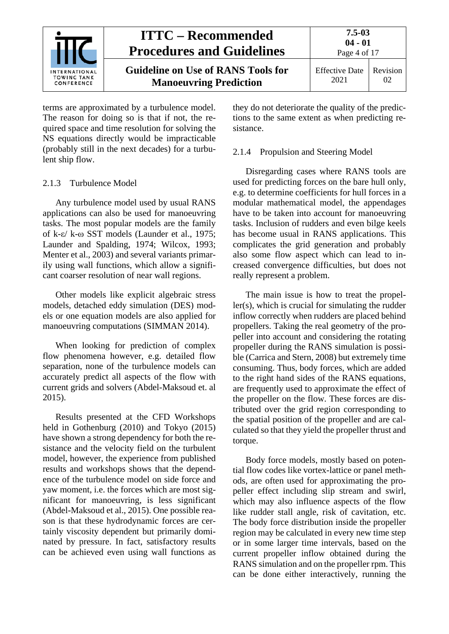

terms are approximated by a turbulence model. The reason for doing so is that if not, the required space and time resolution for solving the NS equations directly would be impracticable (probably still in the next decades) for a turbulent ship flow.

#### <span id="page-3-0"></span>2.1.3 Turbulence Model

Any turbulence model used by usual RANS applications can also be used for manoeuvring tasks. The most popular models are the family of k-ε/ k-ω SST models (Launder et al., 1975; Launder and Spalding, 1974; Wilcox, 1993; Menter et al., 2003) and several variants primarily using wall functions, which allow a significant coarser resolution of near wall regions.

Other models like explicit algebraic stress models, detached eddy simulation (DES) models or one equation models are also applied for manoeuvring computations (SIMMAN 2014).

When looking for prediction of complex flow phenomena however, e.g. detailed flow separation, none of the turbulence models can accurately predict all aspects of the flow with current grids and solvers (Abdel-Maksoud et. al 2015).

Results presented at the CFD Workshops held in Gothenburg (2010) and Tokyo (2015) have shown a strong dependency for both the resistance and the velocity field on the turbulent model, however, the experience from published results and workshops shows that the dependence of the turbulence model on side force and yaw moment, i.e. the forces which are most significant for manoeuvring, is less significant (Abdel-Maksoud et al., 2015). One possible reason is that these hydrodynamic forces are certainly viscosity dependent but primarily dominated by pressure. In fact, satisfactory results can be achieved even using wall functions as

they do not deteriorate the quality of the predictions to the same extent as when predicting resistance.

#### <span id="page-3-1"></span>2.1.4 Propulsion and Steering Model

Disregarding cases where RANS tools are used for predicting forces on the bare hull only, e.g. to determine coefficients for hull forces in a modular mathematical model, the appendages have to be taken into account for manoeuvring tasks. Inclusion of rudders and even bilge keels has become usual in RANS applications. This complicates the grid generation and probably also some flow aspect which can lead to increased convergence difficulties, but does not really represent a problem.

The main issue is how to treat the propeller(s), which is crucial for simulating the rudder inflow correctly when rudders are placed behind propellers. Taking the real geometry of the propeller into account and considering the rotating propeller during the RANS simulation is possible (Carrica and Stern, 2008) but extremely time consuming. Thus, body forces, which are added to the right hand sides of the RANS equations, are frequently used to approximate the effect of the propeller on the flow. These forces are distributed over the grid region corresponding to the spatial position of the propeller and are calculated so that they yield the propeller thrust and torque.

Body force models, mostly based on potential flow codes like vortex-lattice or panel methods, are often used for approximating the propeller effect including slip stream and swirl, which may also influence aspects of the flow like rudder stall angle, risk of cavitation, etc. The body force distribution inside the propeller region may be calculated in every new time step or in some larger time intervals, based on the current propeller inflow obtained during the RANS simulation and on the propeller rpm. This can be done either interactively, running the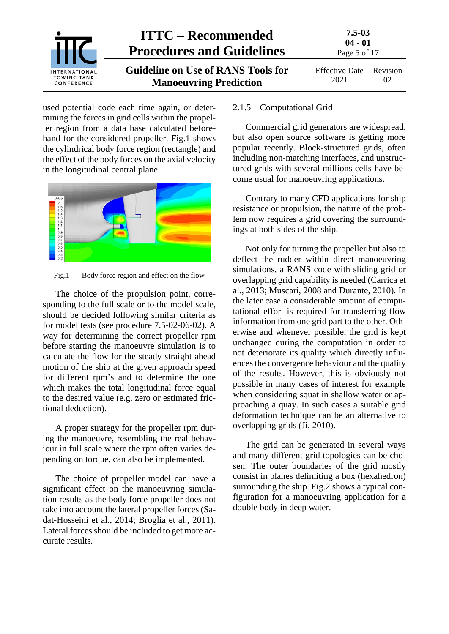

used potential code each time again, or determining the forces in grid cells within the propeller region from a data base calculated beforehand for the considered propeller. [Fig.1](#page-4-1) shows the cylindrical body force region (rectangle) and the effect of the body forces on the axial velocity in the longitudinal central plane.



<span id="page-4-1"></span>Fig.1 Body force region and effect on the flow

The choice of the propulsion point, corresponding to the full scale or to the model scale, should be decided following similar criteria as for model tests (see procedure 7.5-02-06-02). A way for determining the correct propeller rpm before starting the manoeuvre simulation is to calculate the flow for the steady straight ahead motion of the ship at the given approach speed for different rpm's and to determine the one which makes the total longitudinal force equal to the desired value (e.g. zero or estimated frictional deduction).

A proper strategy for the propeller rpm during the manoeuvre, resembling the real behaviour in full scale where the rpm often varies depending on torque, can also be implemented.

The choice of propeller model can have a significant effect on the manoeuvring simulation results as the body force propeller does not take into account the lateral propeller forces (Sadat-Hosseini et al., 2014; Broglia et al., 2011). Lateral forces should be included to get more accurate results.

#### <span id="page-4-0"></span>2.1.5 Computational Grid

Commercial grid generators are widespread, but also open source software is getting more popular recently. Block-structured grids, often including non-matching interfaces, and unstructured grids with several millions cells have become usual for manoeuvring applications.

Contrary to many CFD applications for ship resistance or propulsion, the nature of the problem now requires a grid covering the surroundings at both sides of the ship.

Not only for turning the propeller but also to deflect the rudder within direct manoeuvring simulations, a RANS code with sliding grid or overlapping grid capability is needed (Carrica et al., 2013; Muscari, 2008 and Durante, 2010). In the later case a considerable amount of computational effort is required for transferring flow information from one grid part to the other. Otherwise and whenever possible, the grid is kept unchanged during the computation in order to not deteriorate its quality which directly influences the convergence behaviour and the quality of the results. However, this is obviously not possible in many cases of interest for example when considering squat in shallow water or approaching a quay. In such cases a suitable grid deformation technique can be an alternative to overlapping grids (Ji, 2010).

The grid can be generated in several ways and many different grid topologies can be chosen. The outer boundaries of the grid mostly consist in planes delimiting a box (hexahedron) surrounding the ship. [Fig.2](#page-5-2) shows a typical configuration for a manoeuvring application for a double body in deep water.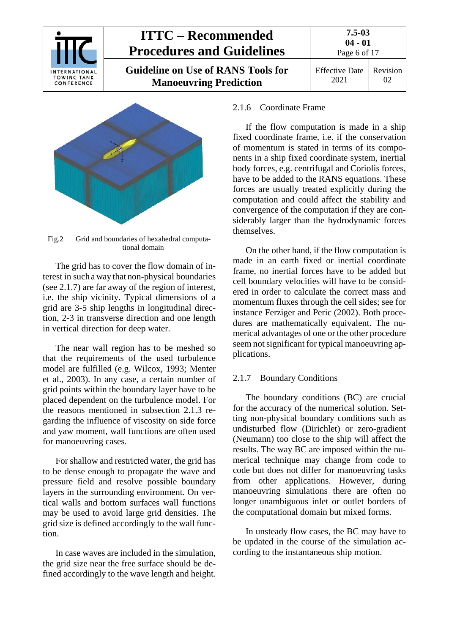

 $02$ 

2021



<span id="page-5-2"></span>Fig.2 Grid and boundaries of hexahedral computational domain

The grid has to cover the flow domain of interest in such away that non-physical boundaries (see [2.1.7\)](#page-5-1) are far away of the region of interest, i.e. the ship vicinity. Typical dimensions of a grid are 3-5 ship lengths in longitudinal direction, 2-3 in transverse direction and one length in vertical direction for deep water.

The near wall region has to be meshed so that the requirements of the used turbulence model are fulfilled (e.g. Wilcox, 1993; Menter et al., 2003). In any case, a certain number of grid points within the boundary layer have to be placed dependent on the turbulence model. For the reasons mentioned in subsection [2.1.3](#page-3-0) regarding the influence of viscosity on side force and yaw moment, wall functions are often used for manoeuvring cases.

For shallow and restricted water, the grid has to be dense enough to propagate the wave and pressure field and resolve possible boundary layers in the surrounding environment. On vertical walls and bottom surfaces wall functions may be used to avoid large grid densities. The grid size is defined accordingly to the wall function.

In case waves are included in the simulation, the grid size near the free surface should be defined accordingly to the wave length and height.

#### <span id="page-5-0"></span>2.1.6 Coordinate Frame

If the flow computation is made in a ship fixed coordinate frame, i.e. if the conservation of momentum is stated in terms of its components in a ship fixed coordinate system, inertial body forces, e.g. centrifugal and Coriolis forces, have to be added to the RANS equations. These forces are usually treated explicitly during the computation and could affect the stability and convergence of the computation if they are considerably larger than the hydrodynamic forces themselves.

On the other hand, if the flow computation is made in an earth fixed or inertial coordinate frame, no inertial forces have to be added but cell boundary velocities will have to be considered in order to calculate the correct mass and momentum fluxes through the cell sides; see for instance Ferziger and Peric (2002). Both procedures are mathematically equivalent. The numerical advantages of one or the other procedure seem not significant for typical manoeuvring applications.

### <span id="page-5-1"></span>2.1.7 Boundary Conditions

The boundary conditions (BC) are crucial for the accuracy of the numerical solution. Setting non-physical boundary conditions such as undisturbed flow (Dirichlet) or zero-gradient (Neumann) too close to the ship will affect the results. The way BC are imposed within the numerical technique may change from code to code but does not differ for manoeuvring tasks from other applications. However, during manoeuvring simulations there are often no longer unambiguous inlet or outlet borders of the computational domain but mixed forms.

In unsteady flow cases, the BC may have to be updated in the course of the simulation according to the instantaneous ship motion.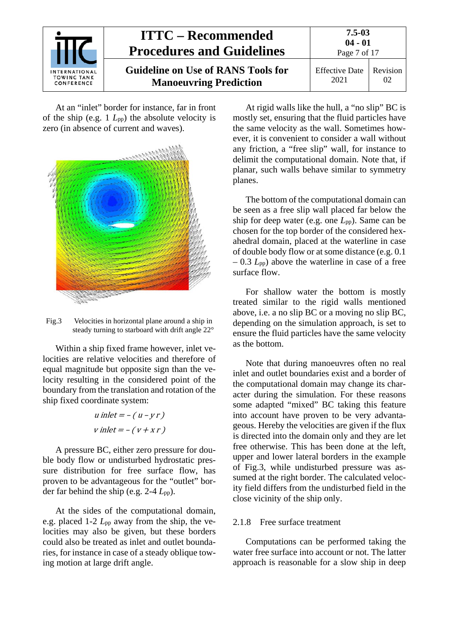

At an "inlet" border for instance, far in front of the ship (e.g. 1 *L*pp) the absolute velocity is zero (in absence of current and waves).



<span id="page-6-1"></span>Fig.3 Velocities in horizontal plane around a ship in steady turning to starboard with drift angle 22°

Within a ship fixed frame however, inlet velocities are relative velocities and therefore of equal magnitude but opposite sign than the velocity resulting in the considered point of the boundary from the translation and rotation of the ship fixed coordinate system:

$$
u\text{ inlet} = -(u - yr)
$$
\n
$$
v\text{ inlet} = -(v + xr)
$$

A pressure BC, either zero pressure for double body flow or undisturbed hydrostatic pressure distribution for free surface flow, has proven to be advantageous for the "outlet" border far behind the ship (e.g. 2-4 *L*pp).

At the sides of the computational domain, e.g. placed 1-2 *L*pp away from the ship, the velocities may also be given, but these borders could also be treated as inlet and outlet boundaries, for instance in case of a steady oblique towing motion at large drift angle.

At rigid walls like the hull, a "no slip" BC is mostly set, ensuring that the fluid particles have the same velocity as the wall. Sometimes however, it is convenient to consider a wall without any friction, a "free slip" wall, for instance to delimit the computational domain. Note that, if planar, such walls behave similar to symmetry planes.

The bottom of the computational domain can be seen as a free slip wall placed far below the ship for deep water (e.g. one *L*pp). Same can be chosen for the top border of the considered hexahedral domain, placed at the waterline in case of double body flow or at some distance (e.g. 0.1 – 0.3 *L*pp) above the waterline in case of a free surface flow.

For shallow water the bottom is mostly treated similar to the rigid walls mentioned above, i.e. a no slip BC or a moving no slip BC, depending on the simulation approach, is set to ensure the fluid particles have the same velocity as the bottom.

Note that during manoeuvres often no real inlet and outlet boundaries exist and a border of the computational domain may change its character during the simulation. For these reasons some adapted "mixed" BC taking this feature into account have proven to be very advantageous. Hereby the velocities are given if the flux is directed into the domain only and they are let free otherwise. This has been done at the left, upper and lower lateral borders in the example of [Fig.3,](#page-6-1) while undisturbed pressure was assumed at the right border. The calculated velocity field differs from the undisturbed field in the close vicinity of the ship only.

#### <span id="page-6-0"></span>2.1.8 Free surface treatment

Computations can be performed taking the water free surface into account or not. The latter approach is reasonable for a slow ship in deep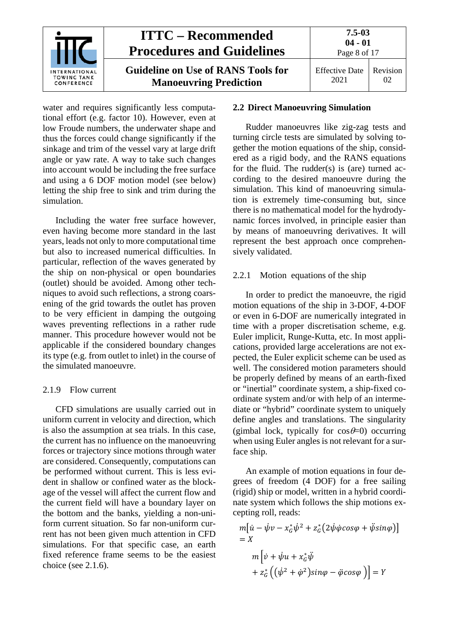

water and requires significantly less computational effort (e.g. factor 10). However, even at low Froude numbers, the underwater shape and thus the forces could change significantly if the sinkage and trim of the vessel vary at large drift angle or yaw rate. A way to take such changes into account would be including the free surface and using a 6 DOF motion model (see below) letting the ship free to sink and trim during the simulation.

Including the water free surface however, even having become more standard in the last years, leads not only to more computational time but also to increased numerical difficulties. In particular, reflection of the waves generated by the ship on non-physical or open boundaries (outlet) should be avoided. Among other techniques to avoid such reflections, a strong coarsening of the grid towards the outlet has proven to be very efficient in damping the outgoing waves preventing reflections in a rather rude manner. This procedure however would not be applicable if the considered boundary changes its type (e.g. from outlet to inlet) in the course of the simulated manoeuvre.

#### <span id="page-7-0"></span>2.1.9 Flow current

CFD simulations are usually carried out in uniform current in velocity and direction, which is also the assumption at sea trials. In this case, the current has no influence on the manoeuvring forces or trajectory since motions through water are considered. Consequently, computations can be performed without current. This is less evident in shallow or confined water as the blockage of the vessel will affect the current flow and the current field will have a boundary layer on the bottom and the banks, yielding a non-uniform current situation. So far non-uniform current has not been given much attention in CFD simulations. For that specific case, an earth fixed reference frame seems to be the easiest choice (see [2.1.6\)](#page-5-0).

#### <span id="page-7-1"></span>**2.2 Direct Manoeuvring Simulation**

Rudder manoeuvres like zig-zag tests and turning circle tests are simulated by solving together the motion equations of the ship, considered as a rigid body, and the RANS equations for the fluid. The rudder(s) is (are) turned according to the desired manoeuvre during the simulation. This kind of manoeuvring simulation is extremely time-consuming but, since there is no mathematical model for the hydrodynamic forces involved, in principle easier than by means of manoeuvring derivatives. It will represent the best approach once comprehensively validated.

#### <span id="page-7-2"></span>2.2.1 Motion equations of the ship

In order to predict the manoeuvre, the rigid motion equations of the ship in 3-DOF, 4-DOF or even in 6-DOF are numerically integrated in time with a proper discretisation scheme, e.g. Euler implicit, Runge-Kutta, etc. In most applications, provided large accelerations are not expected, the Euler explicit scheme can be used as well. The considered motion parameters should be properly defined by means of an earth-fixed or "inertial" coordinate system, a ship-fixed coordinate system and/or with help of an intermediate or "hybrid" coordinate system to uniquely define angles and translations. The singularity (gimbal lock, typically for  $\cos\theta=0$ ) occurring when using Euler angles is not relevant for a surface ship.

An example of motion equations in four degrees of freedom (4 DOF) for a free sailing (rigid) ship or model, written in a hybrid coordinate system which follows the ship motions excepting roll, reads:

$$
m[\dot{u} - \dot{\psi}v - x_{G}^{*}\dot{\psi}^{2} + z_{G}^{*}(2\dot{\psi}\dot{\varphi}cos\varphi + \ddot{\psi}sin\varphi)]
$$
  
=  $X$   

$$
m[\dot{v} + \dot{\psi}u + x_{G}^{*}\ddot{\psi}
$$
  
+  $z_{G}^{*}((\dot{\psi}^{2} + \dot{\varphi}^{2})sin\varphi - \ddot{\varphi}cos\varphi)] = Y$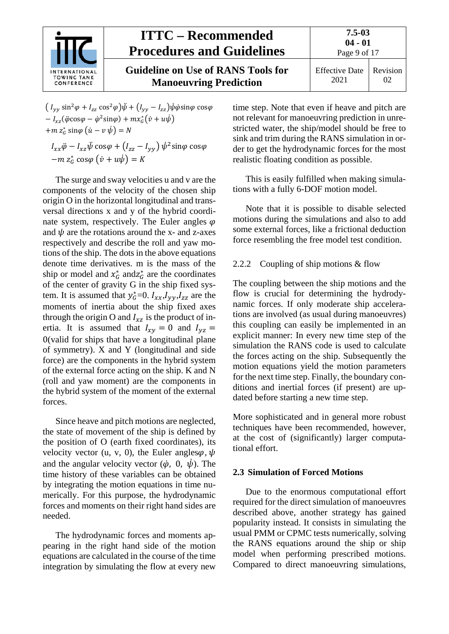

**Guideline on Use of RANS Tools for Manoeuvring Prediction**

2021 02

 $(I_{yy} \sin^2 \varphi + I_{zz} \cos^2 \varphi)\psi + (I_{yy} - I_{zz})\psi \dot{\varphi} \sin \varphi \cos \varphi$  $-I_{xz}(\ddot{\varphi}\cos\varphi - \dot{\varphi}^2\sin\varphi) + mx^*_G(\dot{v} + u\psi)$  $+m z_G^* \sin\varphi \left(\dot{u}-v \,\psi\right)=N$ 

 $I_{xx}\ddot{\varphi}-I_{xz}\psi\cos\varphi+\left(I_{zz}-I_{yy}\right)\psi^2\sin\varphi\cos\varphi$  $-m z_G^* \cos\varphi \left(\dot{v} + u\dot{\psi}\right) = K$ 

The surge and sway velocities u and v are the components of the velocity of the chosen ship origin O in the horizontal longitudinal and transversal directions x and y of the hybrid coordinate system, respectively. The Euler angles  $\varphi$ and  $\psi$  are the rotations around the x- and z-axes respectively and describe the roll and yaw motions of the ship. The dots in the above equations denote time derivatives. m is the mass of the ship or model and  $x_G^*$  and  $z_G^*$  are the coordinates of the center of gravity G in the ship fixed system. It is assumed that  $y_G^* = 0$ .  $I_{xx}, I_{yy}, I_{zz}$  are the moments of inertia about the ship fixed axes through the origin O and  $I_{xz}$  is the product of inertia. It is assumed that  $I_{xy} = 0$  and  $I_{yz} =$ 0(valid for ships that have a longitudinal plane of symmetry). X and Y (longitudinal and side force) are the components in the hybrid system of the external force acting on the ship. K and N (roll and yaw moment) are the components in the hybrid system of the moment of the external forces.

Since heave and pitch motions are neglected, the state of movement of the ship is defined by the position of O (earth fixed coordinates), its velocity vector (u, v, 0), the Euler angles $\varphi$ ,  $\psi$ and the angular velocity vector  $(\dot{\varphi}, 0, \dot{\psi})$ . The time history of these variables can be obtained by integrating the motion equations in time numerically. For this purpose, the hydrodynamic forces and moments on their right hand sides are needed.

The hydrodynamic forces and moments appearing in the right hand side of the motion equations are calculated in the course of the time integration by simulating the flow at every new

time step. Note that even if heave and pitch are not relevant for manoeuvring prediction in unrestricted water, the ship/model should be free to sink and trim during the RANS simulation in order to get the hydrodynamic forces for the most realistic floating condition as possible.

This is easily fulfilled when making simulations with a fully 6-DOF motion model.

Note that it is possible to disable selected motions during the simulations and also to add some external forces, like a frictional deduction force resembling the free model test condition.

### <span id="page-8-0"></span>2.2.2 Coupling of ship motions & flow

The coupling between the ship motions and the flow is crucial for determining the hydrodynamic forces. If only moderate ship accelerations are involved (as usual during manoeuvres) this coupling can easily be implemented in an explicit manner: In every new time step of the simulation the RANS code is used to calculate the forces acting on the ship. Subsequently the motion equations yield the motion parameters for the next time step. Finally, the boundary conditions and inertial forces (if present) are updated before starting a new time step.

More sophisticated and in general more robust techniques have been recommended, however, at the cost of (significantly) larger computational effort.

### <span id="page-8-1"></span>**2.3 Simulation of Forced Motions**

Due to the enormous computational effort required for the direct simulation of manoeuvres described above, another strategy has gained popularity instead. It consists in simulating the usual PMM or CPMC tests numerically, solving the RANS equations around the ship or ship model when performing prescribed motions. Compared to direct manoeuvring simulations,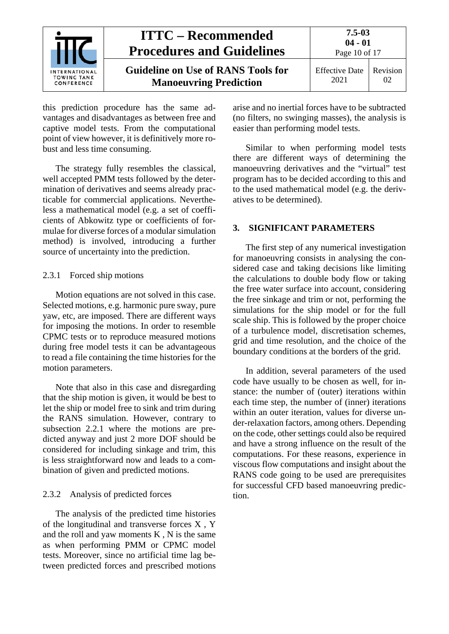

this prediction procedure has the same advantages and disadvantages as between free and captive model tests. From the computational point of view however, it is definitively more robust and less time consuming.

The strategy fully resembles the classical, well accepted PMM tests followed by the determination of derivatives and seems already practicable for commercial applications. Nevertheless a mathematical model (e.g. a set of coefficients of Abkowitz type or coefficients of formulae for diverse forces of a modular simulation method) is involved, introducing a further source of uncertainty into the prediction.

#### <span id="page-9-0"></span>2.3.1 Forced ship motions

Motion equations are not solved in this case. Selected motions, e.g. harmonic pure sway, pure yaw, etc, are imposed. There are different ways for imposing the motions. In order to resemble CPMC tests or to reproduce measured motions during free model tests it can be advantageous to read a file containing the time histories for the motion parameters.

Note that also in this case and disregarding that the ship motion is given, it would be best to let the ship or model free to sink and trim during the RANS simulation. However, contrary to subsection [2.2.1](#page-7-2) where the motions are predicted anyway and just 2 more DOF should be considered for including sinkage and trim, this is less straightforward now and leads to a combination of given and predicted motions.

#### <span id="page-9-1"></span>2.3.2 Analysis of predicted forces

The analysis of the predicted time histories of the longitudinal and transverse forces X , Y and the roll and yaw moments  $K$ ,  $N$  is the same as when performing PMM or CPMC model tests. Moreover, since no artificial time lag between predicted forces and prescribed motions arise and no inertial forces have to be subtracted (no filters, no swinging masses), the analysis is easier than performing model tests.

Similar to when performing model tests there are different ways of determining the manoeuvring derivatives and the "virtual" test program has to be decided according to this and to the used mathematical model (e.g. the derivatives to be determined).

#### <span id="page-9-2"></span>**3. SIGNIFICANT PARAMETERS**

The first step of any numerical investigation for manoeuvring consists in analysing the considered case and taking decisions like limiting the calculations to double body flow or taking the free water surface into account, considering the free sinkage and trim or not, performing the simulations for the ship model or for the full scale ship. This is followed by the proper choice of a turbulence model, discretisation schemes, grid and time resolution, and the choice of the boundary conditions at the borders of the grid.

In addition, several parameters of the used code have usually to be chosen as well, for instance: the number of (outer) iterations within each time step, the number of (inner) iterations within an outer iteration, values for diverse under-relaxation factors, among others. Depending on the code, other settings could also be required and have a strong influence on the result of the computations. For these reasons, experience in viscous flow computations and insight about the RANS code going to be used are prerequisites for successful CFD based manoeuvring prediction.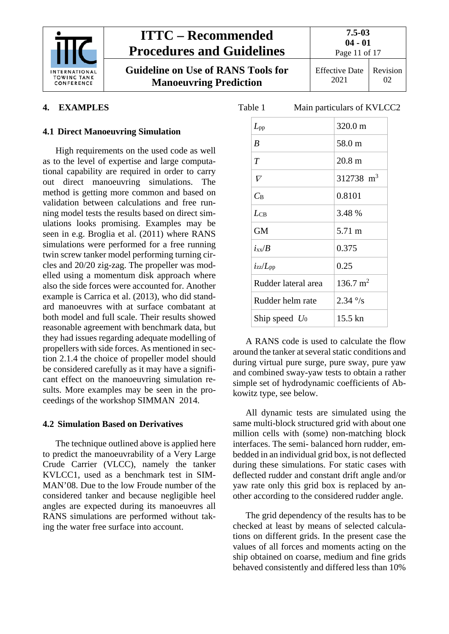

**Guideline on Use of RANS Tools for Manoeuvring Prediction**

**04 - 01** Page 11 of 17

Effective Date 2021 Revision 02

### <span id="page-10-1"></span><span id="page-10-0"></span>**4. EXAMPLES**

#### **4.1 Direct Manoeuvring Simulation**

High requirements on the used code as well as to the level of expertise and large computational capability are required in order to carry out direct manoeuvring simulations. The method is getting more common and based on validation between calculations and free running model tests the results based on direct simulations looks promising. Examples may be seen in e.g. Broglia et al. (2011) where RANS simulations were performed for a free running twin screw tanker model performing turning circles and 20/20 zig-zag. The propeller was modelled using a momentum disk approach where also the side forces were accounted for. Another example is Carrica et al. (2013), who did standard manoeuvres with at surface combatant at both model and full scale. Their results showed reasonable agreement with benchmark data, but they had issues regarding adequate modelling of propellers with side forces. As mentioned in section [2.1.4](#page-3-1) the choice of propeller model should be considered carefully as it may have a significant effect on the manoeuvring simulation results. More examples may be seen in the proceedings of the workshop SIMMAN 2014.

#### <span id="page-10-2"></span>**4.2 Simulation Based on Derivatives**

The technique outlined above is applied here to predict the manoeuvrability of a Very Large Crude Carrier (VLCC), namely the tanker KVLCC1, used as a benchmark test in SIM-MAN'08. Due to the low Froude number of the considered tanker and because negligible heel angles are expected during its manoeuvres all RANS simulations are performed without taking the water free surface into account.

| Table 1             | Main particulars of KVLCC2 |
|---------------------|----------------------------|
| $L_{\rm pp}$        | 320.0 m                    |
| B                   | 58.0 m                     |
| T                   | 20.8 <sub>m</sub>          |
| $\mathcal V$        | $312738 \text{ m}^3$       |
| $C_{\rm B}$         | 0.8101                     |
| $L_{CB}$            | 3.48 %                     |
| <b>GM</b>           | 5.71 m                     |
| $i_{xx}/B$          | 0.375                      |
| $i_{zz}/L_{\rm pp}$ | 0.25                       |
| Rudder lateral area | $136.7 \text{ m}^2$        |
| Rudder helm rate    | $2.34\degree$ /s           |
| Ship speed $U_0$    | 15.5 kn                    |
|                     |                            |

A RANS code is used to calculate the flow around the tanker at several static conditions and during virtual pure surge, pure sway, pure yaw and combined sway-yaw tests to obtain a rather simple set of hydrodynamic coefficients of Abkowitz type, see below.

All dynamic tests are simulated using the same multi-block structured grid with about one million cells with (some) non-matching block interfaces. The semi- balanced horn rudder, embedded in an individual grid box, is not deflected during these simulations. For static cases with deflected rudder and constant drift angle and/or yaw rate only this grid box is replaced by another according to the considered rudder angle.

The grid dependency of the results has to be checked at least by means of selected calculations on different grids. In the present case the values of all forces and moments acting on the ship obtained on coarse, medium and fine grids behaved consistently and differed less than 10%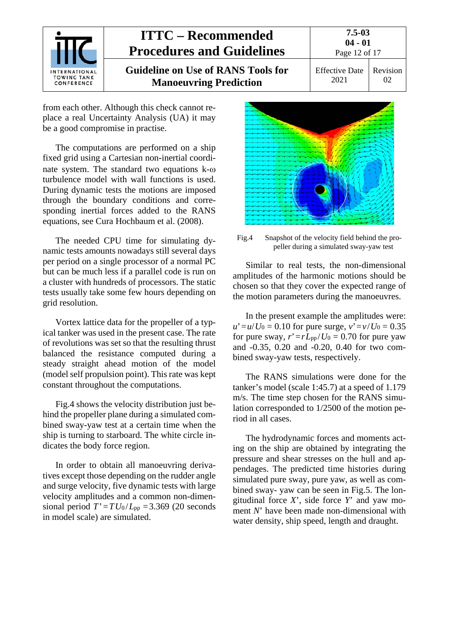

from each other. Although this check cannot replace a real Uncertainty Analysis (UA) it may be a good compromise in practise.

The computations are performed on a ship fixed grid using a Cartesian non-inertial coordinate system. The standard two equations k-ω turbulence model with wall functions is used. During dynamic tests the motions are imposed through the boundary conditions and corresponding inertial forces added to the RANS equations, see Cura Hochbaum et al. (2008).

The needed CPU time for simulating dynamic tests amounts nowadays still several days per period on a single processor of a normal PC but can be much less if a parallel code is run on a cluster with hundreds of processors. The static tests usually take some few hours depending on grid resolution.

Vortex lattice data for the propeller of a typical tanker was used in the present case. The rate of revolutions was set so that the resulting thrust balanced the resistance computed during a steady straight ahead motion of the model (model self propulsion point). This rate was kept constant throughout the computations.

Fig.4 shows the velocity distribution just behind the propeller plane during a simulated combined sway-yaw test at a certain time when the ship is turning to starboard. The white circle indicates the body force region.

In order to obtain all manoeuvring derivatives except those depending on the rudder angle and surge velocity, five dynamic tests with large velocity amplitudes and a common non-dimensional period  $T' = T U_0 / L_{pp} = 3.369$  (20 seconds in model scale) are simulated.



Fig.4 Snapshot of the velocity field behind the propeller during a simulated sway-yaw test

Similar to real tests, the non-dimensional amplitudes of the harmonic motions should be chosen so that they cover the expected range of the motion parameters during the manoeuvres.

In the present example the amplitudes were:  $u' = u/U_0 = 0.10$  for pure surge,  $v' = v/U_0 = 0.35$ for pure sway,  $r' = rL_{\text{pp}}/U_0 = 0.70$  for pure yaw and -0.35, 0.20 and -0.20, 0.40 for two combined sway-yaw tests, respectively.

The RANS simulations were done for the tanker's model (scale 1:45.7) at a speed of 1.179 m/s. The time step chosen for the RANS simulation corresponded to 1/2500 of the motion period in all cases.

The hydrodynamic forces and moments acting on the ship are obtained by integrating the pressure and shear stresses on the hull and appendages. The predicted time histories during simulated pure sway, pure yaw, as well as combined sway- yaw can be seen in Fig.5. The longitudinal force *X*', side force *Y*' and yaw moment *N*' have been made non-dimensional with water density, ship speed, length and draught.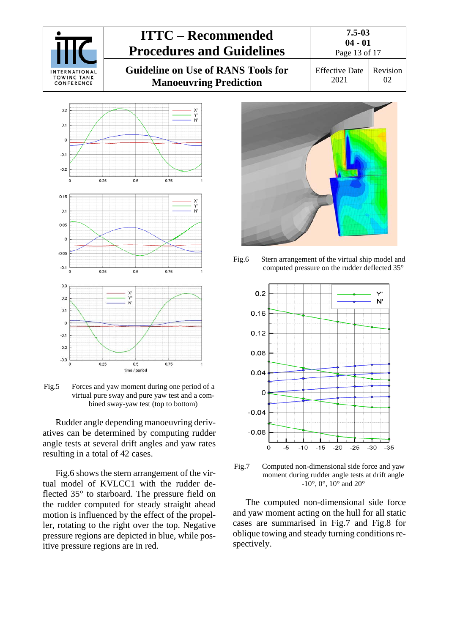



Fig.5 Forces and yaw moment during one period of a virtual pure sway and pure yaw test and a combined sway-yaw test (top to bottom)

Rudder angle depending manoeuvring derivatives can be determined by computing rudder angle tests at several drift angles and yaw rates resulting in a total of 42 cases.

Fig.6 shows the stern arrangement of the virtual model of KVLCC1 with the rudder deflected 35° to starboard. The pressure field on the rudder computed for steady straight ahead motion is influenced by the effect of the propeller, rotating to the right over the top. Negative pressure regions are depicted in blue, while positive pressure regions are in red.







<span id="page-12-0"></span>Fig.7 Computed non-dimensional side force and yaw moment during rudder angle tests at drift angle  $-10^{\circ}$ , 0°, 10° and 20°

The computed non-dimensional side force and yaw moment acting on the hull for all static cases are summarised in [Fig.7](#page-12-0) and [Fig.8](#page-13-0) for oblique towing and steady turning conditions respectively.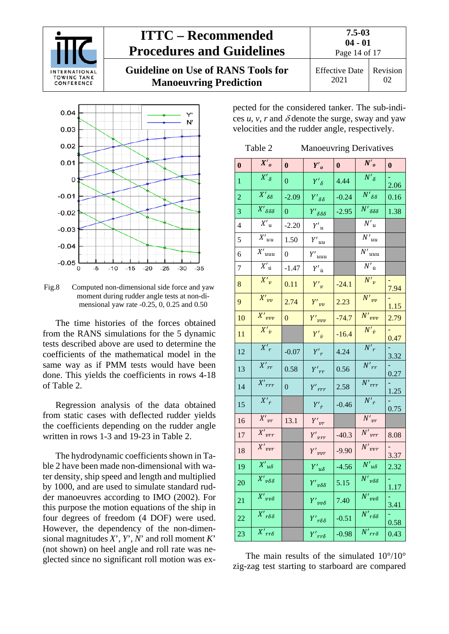

Effective Date 2021 02



<span id="page-13-0"></span>Fig.8 Computed non-dimensional side force and yaw moment during rudder angle tests at non-dimensional yaw rate -0.25, 0, 0.25 and 0.50

The time histories of the forces obtained from the RANS simulations for the 5 dynamic tests described above are used to determine the coefficients of the mathematical model in the same way as if PMM tests would have been done. This yields the coefficients in rows 4-18 of Table 2.

Regression analysis of the data obtained from static cases with deflected rudder yields the coefficients depending on the rudder angle written in rows 1-3 and 19-23 in Table 2.

The hydrodynamic coefficients shown in Table 2 have been made non-dimensional with water density, ship speed and length and multiplied by 1000, and are used to simulate standard rudder manoeuvres according to IMO (2002). For this purpose the motion equations of the ship in four degrees of freedom (4 DOF) were used. However, the dependency of the non-dimensional magnitudes *X*', *Y*', *N*' and roll moment *K*' (not shown) on heel angle and roll rate was neglected since no significant roll motion was expected for the considered tanker. The sub-indices  $u$ ,  $v$ ,  $r$  and  $\delta$  denote the surge, sway and yaw velocities and the rudder angle, respectively.

| Table 2 | <b>Manoeuvring Derivatives</b> |  |
|---------|--------------------------------|--|
|         |                                |  |

| $\bf{0}$       | $X'_0$                               | $\bf{0}$       | $Y'_{o}$                                          | $\mathbf{0}$ | $N'_0$                                | $\bf{0}$ |
|----------------|--------------------------------------|----------------|---------------------------------------------------|--------------|---------------------------------------|----------|
|                | $X'_{\delta}$                        |                |                                                   |              | $N'_{\delta}$                         |          |
| 1              |                                      | $\overline{0}$ | $Y'_{\delta}$                                     | 4.44         |                                       | 2.06     |
| $\overline{2}$ | $\overline{X'_{\delta\delta}}$       | $-2.09$        | $Y'{}_{\delta\delta}$                             | $-0.24$      | $N'{}_{\delta\delta}$                 | 0.16     |
| 3              | $\overline{X'_{\delta\delta\delta}}$ | $\overline{0}$ | $Y'$ <sub><math>\delta \delta \delta</math></sub> | $-2.95$      | $N'{}_{\delta\delta\delta}$           | 1.38     |
| 4              | $X{'}_{\mathrm{u}}$                  | $-2.20$        | $Y'_u$                                            |              | $\overline{N'}_u$                     |          |
| 5              | $\overline{X'}_{uu}$                 | 1.50           | $Y'_{uu}$                                         |              | $\overline{N'}_{uu}$                  |          |
| 6              | $\overline{X'}_{uuu}$                | 0              | $Y'_{uuu}$                                        |              | $\overline{N'}_{uuu}$                 |          |
| 7              | $X'_{\dot{u}}$                       | $-1.47$        | $Y'_{\dot{u}}$                                    |              | $N'_{\dot{u}}$                        |          |
| 8              | $X'_{v}$                             | 0.11           | $Y'_{v}$                                          | $-24.1$      | $N'_{v}$                              | 7.94     |
| 9              | $X'$ <sub>vv</sub>                   | 2.74           | $Y'_{vv}$                                         | 2.23         | $N'_{vv}$                             | 1.15     |
| 10             | $\overline{X'}_{\nu \nu \nu}$        | $\overline{0}$ | $Y'$ <sub>vvv</sub>                               | $-74.7$      | $N'$ <sub>vvv</sub>                   | 2.79     |
| 11             | $X'_{\dot{v}}$                       |                | $Y'_{\dot{v}}$                                    | $-16.4$      | $N'_{\dot{v}}$                        | 0.47     |
| 12             | $X'_r$                               | $-0.07$        | $Y'_r$                                            | 4.24         | $\overline{N'}_r$                     | 3.32     |
| 13             | $X'_{rr}$                            | 0.58           | $Y'_{rr}$                                         | 0.56         | $N'_{rr}$                             | 0.27     |
| 14             | $\overline{X'}_{rrr}$                | $\overline{0}$ | $Y'$ <sub>rrr</sub>                               | 2.58         | $\overline{N}'_{rrr}$                 | 1.25     |
| 15             | $\overline{X'}_{\dot{r}}$            |                | $Y'_{\dot{r}}$                                    | $-0.46$      | $N'_r$                                | 0.75     |
| 16             | $\overline{X'}_{vr}$                 | 13.1           | $Y'_{vr}$                                         |              | $N'_{vr}$                             |          |
| 17             | $\overline{X'}_{vrr}$                |                | $Y'_{vrr}$                                        | $-40.3$      | $\overline{N'}_{vrr}$                 | 8.08     |
| 18             | $X'_{\ vvr}$                         |                | $Y'_{\textit{vvr}}$                               | $-9.90$      | $N'_{vvr}$                            | 3.37     |
| 19             | $X'u\delta$                          |                | $Y'u\delta$                                       | $-4.56$      | $N'{}_{u\delta}$                      | 2.32     |
| 20             | $\overline{X'}_{\nu\delta\delta}$    |                | $Y'_{\nu\delta\delta}$                            | 5.15         | $N'_{\nu\delta\delta}$                | 1.17     |
| 21             | $\overline{X'}_{\nu\nu\delta}$       |                | $Y'$ <sub>vv<math>\delta</math></sub>             | 7.40         | $N'_{vv\delta}$                       | 3.41     |
| 22             | $\overline{X'_{r\delta\delta}}$      |                | $Y'_{r\delta\delta}$                              | $-0.51$      | $N'$ rδδ                              | 0.58     |
| 23             | $\overline{X'_{rr\delta}}$           |                | $Y'_{rr\delta}$                                   | $-0.98$      | $N'$ <sub>rr<math>\delta</math></sub> | 0.43     |

The main results of the simulated  $10^{\circ}/10^{\circ}$ zig-zag test starting to starboard are compared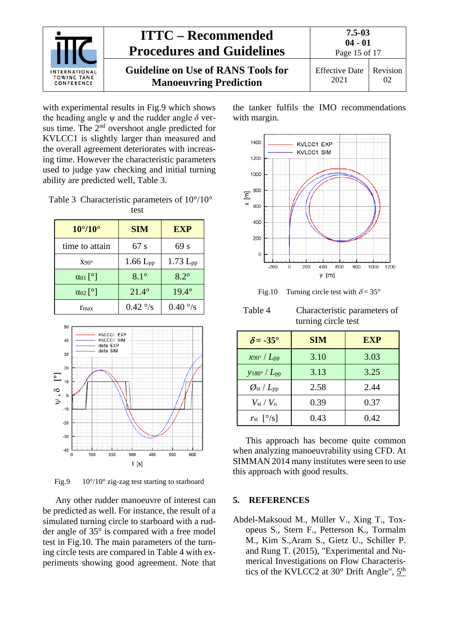

**Guideline on Use of RANS Tools for Manoeuvring Prediction**

Page 15 of 17 Effective Date 2021 Revision 02

with experimental results in Fig.9 which shows the heading angle  $\psi$  and the rudder angle  $\delta$  versus time. The 2<sup>nd</sup> overshoot angle predicted for KVLCC1 is slightly larger than measured and the overall agreement deteriorates with increasing time. However the characteristic parameters used to judge yaw checking and initial turning ability are predicted well, Table 3.

| Table 3 Characteristic parameters of $10^{\circ}/10^{\circ}$ |
|--------------------------------------------------------------|
| test                                                         |

| $10^{\circ}/10^{\circ}$ | <b>SIM</b>             | <b>EXP</b>       |
|-------------------------|------------------------|------------------|
| time to attain          | 67 s                   | 69s              |
| $X90^\circ$             | $1.66$ L <sub>pp</sub> | $1.73 L_{pp}$    |
| $\alpha_{01}$ [°]       | $8.1^\circ$            | $8.2^\circ$      |
| $\alpha_{02}$ [°]       | $21.4^{\circ}$         | $19.4^\circ$     |
| $r_{\rm max}$           | $0.42\degree$ /s       | $0.40\degree$ /s |



Fig.9 10°/10° zig-zag test starting to starboard

Any other rudder manoeuvre of interest can be predicted as well. For instance, the result of a simulated turning circle to starboard with a rudder angle of 35° is compared with a free model test in [Fig.10.](#page-14-1) The main parameters of the turning circle tests are compared in Table 4 with experiments showing good agreement. Note that the tanker fulfils the IMO recommendations with margin.



<span id="page-14-1"></span>Fig.10 Turning circle test with  $\delta = 35^{\circ}$ 

| Table 4 | Characteristic parameters of |  |
|---------|------------------------------|--|
|         | turning circle test          |  |

| $\delta$ = -35°                          | <b>SIM</b> | <b>EXP</b> |
|------------------------------------------|------------|------------|
| $x_{90^{\circ}}$ / $L_{\rm pp}$          | 3.10       | 3.03       |
| $y_{180^\circ}$ / $L_{\rm pp}$           | 3.13       | 3.25       |
| $\mathscr{O}_{\rm st}/L_{\rm pp}$        | 2.58       | 2.44       |
| $V_{\rm st}$ / $V_{\rm o}$               | 0.39       | 0.37       |
| $r_{st}$ $\lceil \frac{\circ}{s} \rceil$ | 0.43       | 0.42       |

This approach has become quite common when analyzing manoeuvrability using CFD. At SIMMAN 2014 many institutes were seen to use this approach with good results.

#### <span id="page-14-0"></span>**5. REFERENCES**

Abdel-Maksoud M., Müller V., Xing T., Toxopeus S., Stern F., Petterson K., Tormalm M., Kim S.,Aram S., Gietz U., Schiller P. and Rung T. (2015), "Experimental and Numerical Investigations on Flow Characteristics of the KVLCC2 at 30 $^{\circ}$  Drift Angle",  $5^{\text{th}}$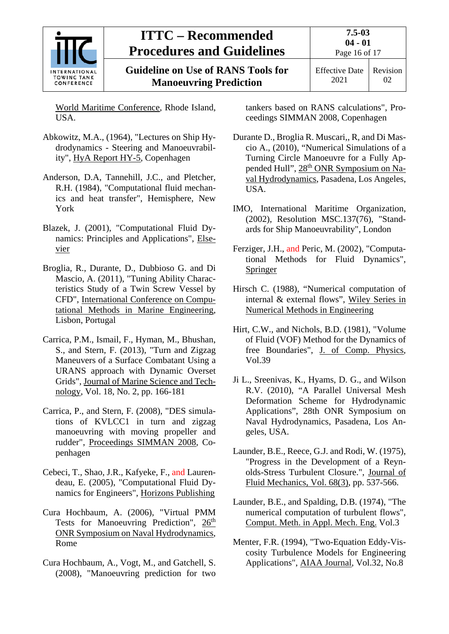

Effective Date 2021 Revision 02

World Maritime Conference, Rhode Island, USA.

- Abkowitz, M.A., (1964), "Lectures on Ship Hydrodynamics - Steering and Manoeuvrability", HyA Report HY-5, Copenhagen
- Anderson, D.A, Tannehill, J.C., and Pletcher, R.H. (1984), "Computational fluid mechanics and heat transfer", Hemisphere, New York
- Blazek, J. (2001), "Computational Fluid Dynamics: Principles and Applications", Elsevier
- Broglia, R., Durante, D., Dubbioso G. and Di Mascio, A. (2011), "Tuning Ability Characteristics Study of a Twin Screw Vessel by CFD", International Conference on Computational Methods in Marine Engineering, Lisbon, Portugal
- Carrica, P.M., Ismail, F., Hyman, M., Bhushan, S., and Stern, F. (2013), "Turn and Zigzag Maneuvers of a Surface Combatant Using a URANS approach with Dynamic Overset Grids", Journal of Marine Science and Technology, Vol. 18, No. 2, pp. 166-181
- Carrica, P., and Stern, F. (2008), "DES simulations of KVLCC1 in turn and zigzag manoeuvring with moving propeller and rudder", Proceedings SIMMAN 2008, Copenhagen
- Cebeci, T., Shao, J.R., Kafyeke, F., and Laurendeau, E. (2005), "Computational Fluid Dynamics for Engineers", Horizons Publishing
- Cura Hochbaum, A. (2006), "Virtual PMM Tests for Manoeuvring Prediction",  $26<sup>th</sup>$ ONR Symposium on Naval Hydrodynamics, Rome
- Cura Hochbaum, A., Vogt, M., and Gatchell, S. (2008), "Manoeuvring prediction for two

tankers based on RANS calculations", Proceedings SIMMAN 2008, Copenhagen

- Durante D., Broglia R. Muscari,, R, and Di Mascio A., (2010), "Numerical Simulations of a Turning Circle Manoeuvre for a Fully Appended Hull", 28<sup>th</sup> ONR Symposium on Naval Hydrodynamics, Pasadena, Los Angeles, USA.
- IMO, International Maritime Organization, (2002), Resolution MSC.137(76), "Standards for Ship Manoeuvrability", London
- Ferziger, J.H., and Peric, M. (2002), "Computational Methods for Fluid Dynamics", Springer
- Hirsch C. (1988), "Numerical computation of internal & external flows", Wiley Series in Numerical Methods in Engineering
- Hirt, C.W., and Nichols, B.D. (1981), "Volume of Fluid (VOF) Method for the Dynamics of free Boundaries", J. of Comp. Physics, Vol.39
- Ji L., Sreenivas, K., Hyams, D. G., and Wilson R.V. (2010), "A Parallel Universal Mesh Deformation Scheme for Hydrodynamic Applications", 28th ONR Symposium on Naval Hydrodynamics, Pasadena, Los Angeles, USA.
- Launder, B.E., Reece, G.J. and Rodi, W. (1975), "Progress in the Development of a Reynolds-Stress Turbulent Closure.", Journal of Fluid Mechanics, Vol. 68(3), pp. 537-566.
- Launder, B.E., and Spalding, D.B. (1974), "The numerical computation of turbulent flows", Comput. Meth. in Appl. Mech. Eng. Vol.3
- Menter, F.R. (1994), "Two-Equation Eddy-Viscosity Turbulence Models for Engineering Applications", AIAA Journal, Vol.32, No.8